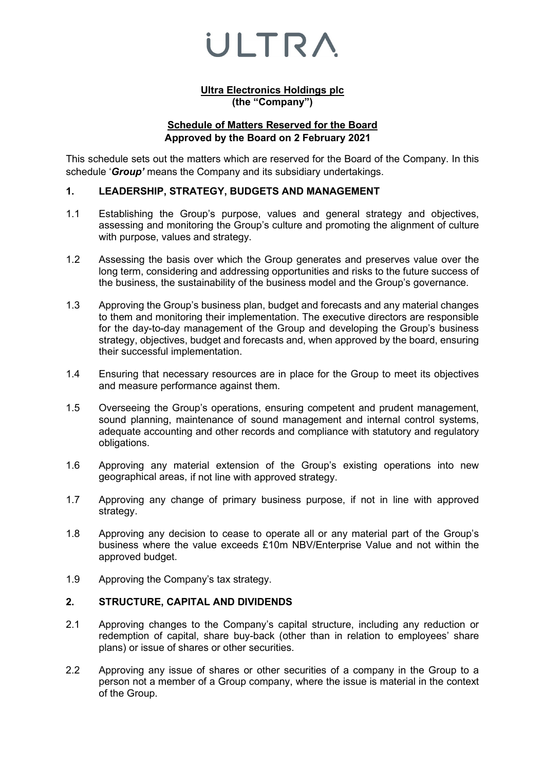#### **Ultra Electronics Holdings plc (the "Company")**

### **Schedule of Matters Reserved for the Board Approved by the Board on 2 February 2021**

This schedule sets out the matters which are reserved for the Board of the Company. In this schedule '*Group'* means the Company and its subsidiary undertakings.

### **1. LEADERSHIP, STRATEGY, BUDGETS AND MANAGEMENT**

- 1.1 Establishing the Group's purpose, values and general strategy and objectives, assessing and monitoring the Group's culture and promoting the alignment of culture with purpose, values and strategy.
- 1.2 Assessing the basis over which the Group generates and preserves value over the long term, considering and addressing opportunities and risks to the future success of the business, the sustainability of the business model and the Group's governance.
- 1.3 Approving the Group's business plan, budget and forecasts and any material changes to them and monitoring their implementation. The executive directors are responsible for the day-to-day management of the Group and developing the Group's business strategy, objectives, budget and forecasts and, when approved by the board, ensuring their successful implementation.
- 1.4 Ensuring that necessary resources are in place for the Group to meet its objectives and measure performance against them.
- 1.5 Overseeing the Group's operations, ensuring competent and prudent management, sound planning, maintenance of sound management and internal control systems, adequate accounting and other records and compliance with statutory and regulatory obligations.
- 1.6 Approving any material extension of the Group's existing operations into new geographical areas, if not line with approved strategy.
- 1.7 Approving any change of primary business purpose, if not in line with approved strategy.
- 1.8 Approving any decision to cease to operate all or any material part of the Group's business where the value exceeds £10m NBV/Enterprise Value and not within the approved budget.
- 1.9 Approving the Company's tax strategy.

### **2. STRUCTURE, CAPITAL AND DIVIDENDS**

- 2.1 Approving changes to the Company's capital structure, including any reduction or redemption of capital, share buy-back (other than in relation to employees' share plans) or issue of shares or other securities.
- 2.2 Approving any issue of shares or other securities of a company in the Group to a person not a member of a Group company, where the issue is material in the context of the Group.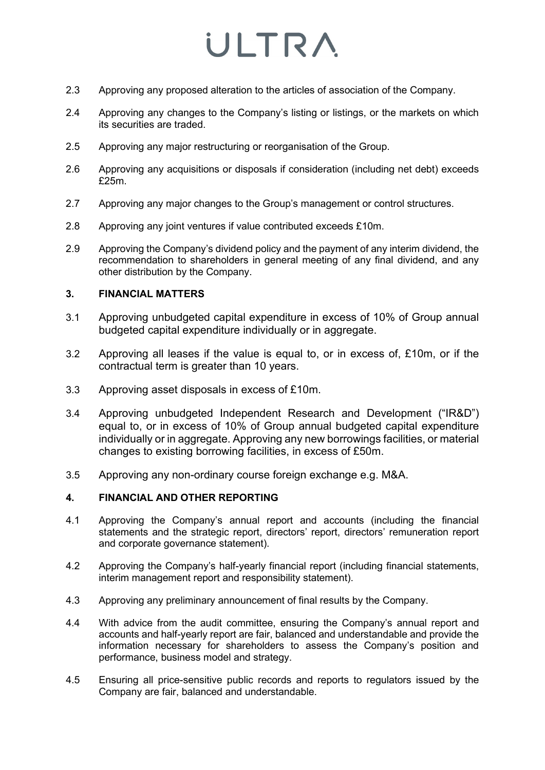- 2.3 Approving any proposed alteration to the articles of association of the Company.
- 2.4 Approving any changes to the Company's listing or listings, or the markets on which its securities are traded.
- 2.5 Approving any major restructuring or reorganisation of the Group.
- 2.6 Approving any acquisitions or disposals if consideration (including net debt) exceeds £25m.
- 2.7 Approving any major changes to the Group's management or control structures.
- 2.8 Approving any joint ventures if value contributed exceeds £10m.
- 2.9 Approving the Company's dividend policy and the payment of any interim dividend, the recommendation to shareholders in general meeting of any final dividend, and any other distribution by the Company.

### **3. FINANCIAL MATTERS**

- 3.1 Approving unbudgeted capital expenditure in excess of 10% of Group annual budgeted capital expenditure individually or in aggregate.
- 3.2 Approving all leases if the value is equal to, or in excess of, £10m, or if the contractual term is greater than 10 years.
- 3.3 Approving asset disposals in excess of £10m.
- 3.4 Approving unbudgeted Independent Research and Development ("IR&D") equal to, or in excess of 10% of Group annual budgeted capital expenditure individually or in aggregate. Approving any new borrowings facilities, or material changes to existing borrowing facilities, in excess of £50m.
- 3.5 Approving any non-ordinary course foreign exchange e.g. M&A.

### **4. FINANCIAL AND OTHER REPORTING**

- 4.1 Approving the Company's annual report and accounts (including the financial statements and the strategic report, directors' report, directors' remuneration report and corporate governance statement).
- 4.2 Approving the Company's half-yearly financial report (including financial statements, interim management report and responsibility statement).
- 4.3 Approving any preliminary announcement of final results by the Company.
- 4.4 With advice from the audit committee, ensuring the Company's annual report and accounts and half-yearly report are fair, balanced and understandable and provide the information necessary for shareholders to assess the Company's position and performance, business model and strategy.
- 4.5 Ensuring all price-sensitive public records and reports to regulators issued by the Company are fair, balanced and understandable.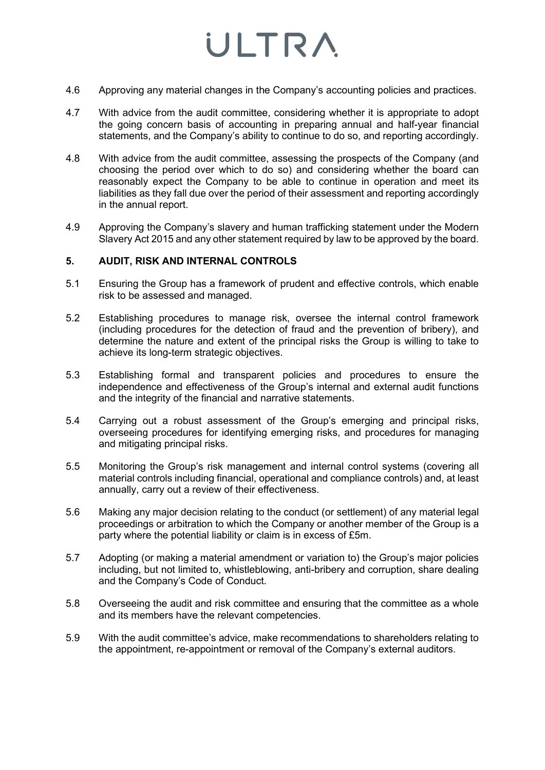- 4.6 Approving any material changes in the Company's accounting policies and practices.
- 4.7 With advice from the audit committee, considering whether it is appropriate to adopt the going concern basis of accounting in preparing annual and half-year financial statements, and the Company's ability to continue to do so, and reporting accordingly.
- 4.8 With advice from the audit committee, assessing the prospects of the Company (and choosing the period over which to do so) and considering whether the board can reasonably expect the Company to be able to continue in operation and meet its liabilities as they fall due over the period of their assessment and reporting accordingly in the annual report.
- 4.9 Approving the Company's slavery and human trafficking statement under the Modern Slavery Act 2015 and any other statement required by law to be approved by the board.

### **5. AUDIT, RISK AND INTERNAL CONTROLS**

- 5.1 Ensuring the Group has a framework of prudent and effective controls, which enable risk to be assessed and managed.
- 5.2 Establishing procedures to manage risk, oversee the internal control framework (including procedures for the detection of fraud and the prevention of bribery), and determine the nature and extent of the principal risks the Group is willing to take to achieve its long-term strategic objectives.
- 5.3 Establishing formal and transparent policies and procedures to ensure the independence and effectiveness of the Group's internal and external audit functions and the integrity of the financial and narrative statements.
- 5.4 Carrying out a robust assessment of the Group's emerging and principal risks, overseeing procedures for identifying emerging risks, and procedures for managing and mitigating principal risks.
- 5.5 Monitoring the Group's risk management and internal control systems (covering all material controls including financial, operational and compliance controls) and, at least annually, carry out a review of their effectiveness.
- 5.6 Making any major decision relating to the conduct (or settlement) of any material legal proceedings or arbitration to which the Company or another member of the Group is a party where the potential liability or claim is in excess of £5m.
- 5.7 Adopting (or making a material amendment or variation to) the Group's major policies including, but not limited to, whistleblowing, anti-bribery and corruption, share dealing and the Company's Code of Conduct.
- 5.8 Overseeing the audit and risk committee and ensuring that the committee as a whole and its members have the relevant competencies.
- 5.9 With the audit committee's advice, make recommendations to shareholders relating to the appointment, re-appointment or removal of the Company's external auditors.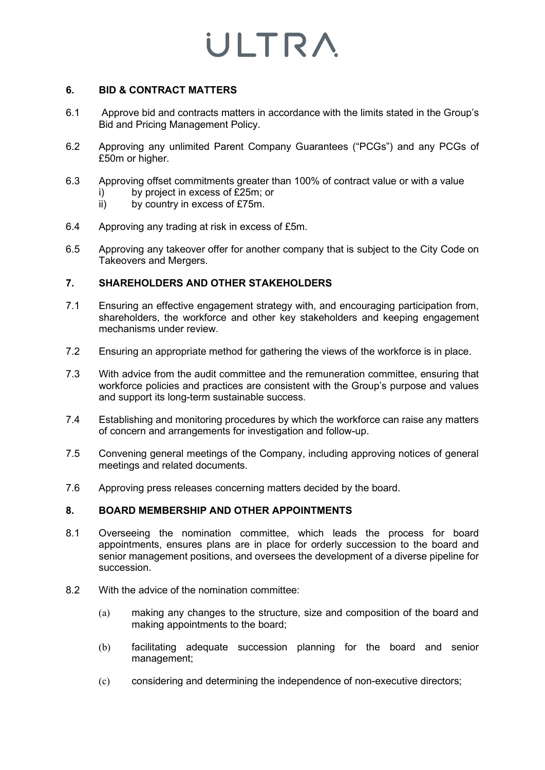### **6. BID & CONTRACT MATTERS**

- 6.1 Approve bid and contracts matters in accordance with the limits stated in the Group's Bid and Pricing Management Policy.
- 6.2 Approving any unlimited Parent Company Guarantees ("PCGs") and any PCGs of £50m or higher.
- 6.3 Approving offset commitments greater than 100% of contract value or with a value
	- i) by project in excess of £25m; or
	- ii) by country in excess of £75m.
- 6.4 Approving any trading at risk in excess of £5m.
- 6.5 Approving any takeover offer for another company that is subject to the City Code on Takeovers and Mergers.

### **7. SHAREHOLDERS AND OTHER STAKEHOLDERS**

- 7.1 Ensuring an effective engagement strategy with, and encouraging participation from, shareholders, the workforce and other key stakeholders and keeping engagement mechanisms under review.
- 7.2 Ensuring an appropriate method for gathering the views of the workforce is in place.
- 7.3 With advice from the audit committee and the remuneration committee, ensuring that workforce policies and practices are consistent with the Group's purpose and values and support its long-term sustainable success.
- 7.4 Establishing and monitoring procedures by which the workforce can raise any matters of concern and arrangements for investigation and follow-up.
- 7.5 Convening general meetings of the Company, including approving notices of general meetings and related documents.
- 7.6 Approving press releases concerning matters decided by the board.

### **8. BOARD MEMBERSHIP AND OTHER APPOINTMENTS**

- 8.1 Overseeing the nomination committee, which leads the process for board appointments, ensures plans are in place for orderly succession to the board and senior management positions, and oversees the development of a diverse pipeline for succession.
- 8.2 With the advice of the nomination committee:
	- (a) making any changes to the structure, size and composition of the board and making appointments to the board;
	- (b) facilitating adequate succession planning for the board and senior management;
	- (c) considering and determining the independence of non-executive directors;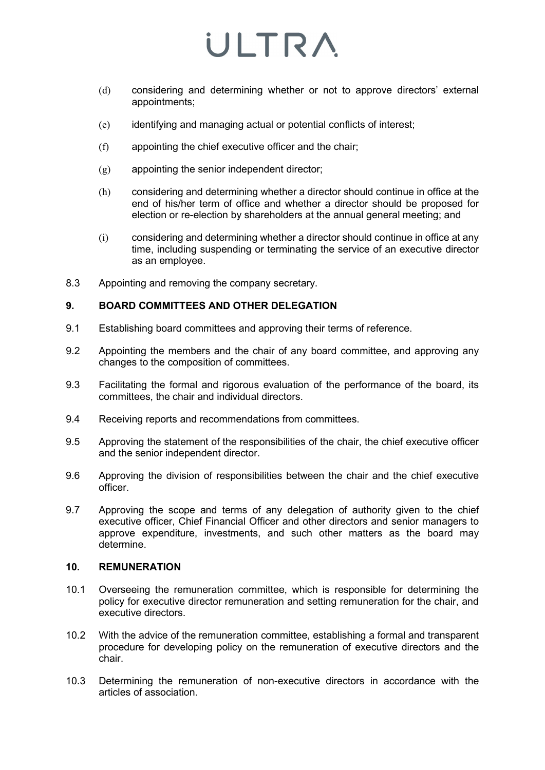- (d) considering and determining whether or not to approve directors' external appointments;
- (e) identifying and managing actual or potential conflicts of interest;
- (f) appointing the chief executive officer and the chair;
- (g) appointing the senior independent director;
- (h) considering and determining whether a director should continue in office at the end of his/her term of office and whether a director should be proposed for election or re-election by shareholders at the annual general meeting; and
- (i) considering and determining whether a director should continue in office at any time, including suspending or terminating the service of an executive director as an employee.
- 8.3 Appointing and removing the company secretary.

### **9. BOARD COMMITTEES AND OTHER DELEGATION**

- 9.1 Establishing board committees and approving their terms of reference.
- 9.2 Appointing the members and the chair of any board committee, and approving any changes to the composition of committees.
- 9.3 Facilitating the formal and rigorous evaluation of the performance of the board, its committees, the chair and individual directors.
- 9.4 Receiving reports and recommendations from committees.
- 9.5 Approving the statement of the responsibilities of the chair, the chief executive officer and the senior independent director.
- 9.6 Approving the division of responsibilities between the chair and the chief executive officer.
- 9.7 Approving the scope and terms of any delegation of authority given to the chief executive officer, Chief Financial Officer and other directors and senior managers to approve expenditure, investments, and such other matters as the board may determine.

#### **10. REMUNERATION**

- 10.1 Overseeing the remuneration committee, which is responsible for determining the policy for executive director remuneration and setting remuneration for the chair, and executive directors.
- 10.2 With the advice of the remuneration committee, establishing a formal and transparent procedure for developing policy on the remuneration of executive directors and the chair.
- 10.3 Determining the remuneration of non-executive directors in accordance with the articles of association.